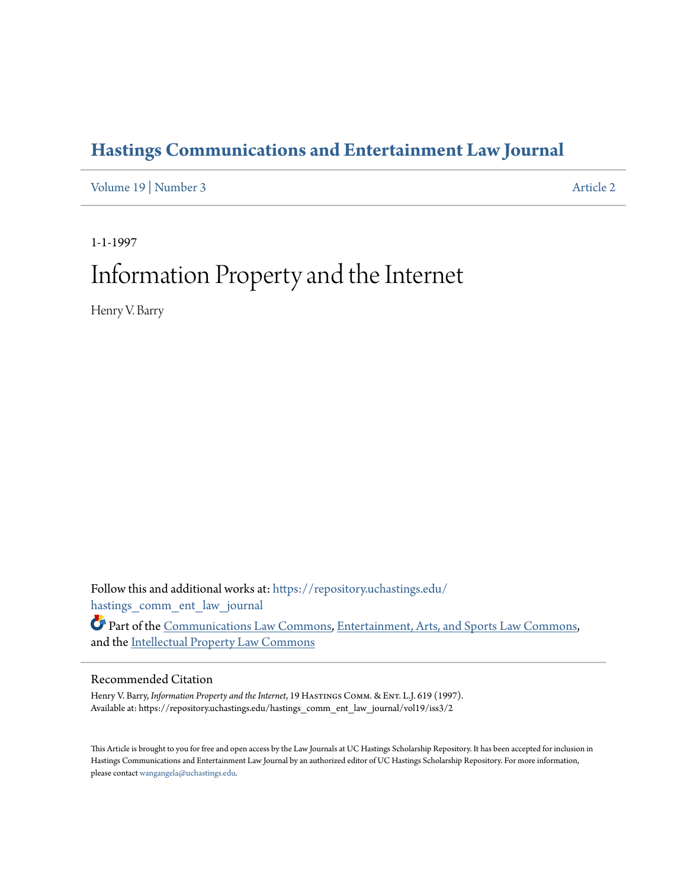# **[Hastings Communications and Entertainment Law Journal](https://repository.uchastings.edu/hastings_comm_ent_law_journal?utm_source=repository.uchastings.edu%2Fhastings_comm_ent_law_journal%2Fvol19%2Fiss3%2F2&utm_medium=PDF&utm_campaign=PDFCoverPages)**

[Volume 19](https://repository.uchastings.edu/hastings_comm_ent_law_journal/vol19?utm_source=repository.uchastings.edu%2Fhastings_comm_ent_law_journal%2Fvol19%2Fiss3%2F2&utm_medium=PDF&utm_campaign=PDFCoverPages) | [Number 3](https://repository.uchastings.edu/hastings_comm_ent_law_journal/vol19/iss3?utm_source=repository.uchastings.edu%2Fhastings_comm_ent_law_journal%2Fvol19%2Fiss3%2F2&utm_medium=PDF&utm_campaign=PDFCoverPages) [Article 2](https://repository.uchastings.edu/hastings_comm_ent_law_journal/vol19/iss3/2?utm_source=repository.uchastings.edu%2Fhastings_comm_ent_law_journal%2Fvol19%2Fiss3%2F2&utm_medium=PDF&utm_campaign=PDFCoverPages)

1-1-1997

# Information Property and the Internet

Henry V. Barry

Follow this and additional works at: [https://repository.uchastings.edu/](https://repository.uchastings.edu/hastings_comm_ent_law_journal?utm_source=repository.uchastings.edu%2Fhastings_comm_ent_law_journal%2Fvol19%2Fiss3%2F2&utm_medium=PDF&utm_campaign=PDFCoverPages) [hastings\\_comm\\_ent\\_law\\_journal](https://repository.uchastings.edu/hastings_comm_ent_law_journal?utm_source=repository.uchastings.edu%2Fhastings_comm_ent_law_journal%2Fvol19%2Fiss3%2F2&utm_medium=PDF&utm_campaign=PDFCoverPages)

Part of the [Communications Law Commons,](http://network.bepress.com/hgg/discipline/587?utm_source=repository.uchastings.edu%2Fhastings_comm_ent_law_journal%2Fvol19%2Fiss3%2F2&utm_medium=PDF&utm_campaign=PDFCoverPages) [Entertainment, Arts, and Sports Law Commons,](http://network.bepress.com/hgg/discipline/893?utm_source=repository.uchastings.edu%2Fhastings_comm_ent_law_journal%2Fvol19%2Fiss3%2F2&utm_medium=PDF&utm_campaign=PDFCoverPages) and the [Intellectual Property Law Commons](http://network.bepress.com/hgg/discipline/896?utm_source=repository.uchastings.edu%2Fhastings_comm_ent_law_journal%2Fvol19%2Fiss3%2F2&utm_medium=PDF&utm_campaign=PDFCoverPages)

### Recommended Citation

Henry V. Barry, *Information Property and the Internet*, 19 HASTINGS COMM. & ENT. L.J. 619 (1997). Available at: https://repository.uchastings.edu/hastings\_comm\_ent\_law\_journal/vol19/iss3/2

This Article is brought to you for free and open access by the Law Journals at UC Hastings Scholarship Repository. It has been accepted for inclusion in Hastings Communications and Entertainment Law Journal by an authorized editor of UC Hastings Scholarship Repository. For more information, please contact [wangangela@uchastings.edu.](mailto:wangangela@uchastings.edu)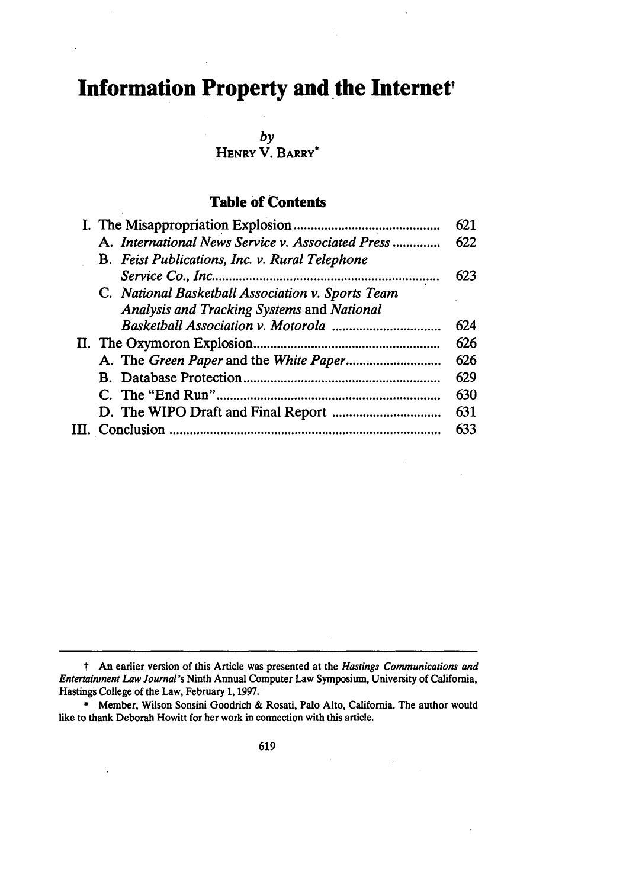# **Information Property and the Internet,**

*by*

**HENRY** V. **BARRY\***

# **Table of Contents**

|  |                                                   | 621 |
|--|---------------------------------------------------|-----|
|  | A. International News Service v. Associated Press | 622 |
|  | B. Feist Publications, Inc. v. Rural Telephone    |     |
|  |                                                   | 623 |
|  | C. National Basketball Association v. Sports Team |     |
|  | Analysis and Tracking Systems and National        |     |
|  |                                                   | 624 |
|  |                                                   | 626 |
|  |                                                   | 626 |
|  |                                                   | 629 |
|  |                                                   | 630 |
|  |                                                   | 631 |
|  |                                                   | 633 |
|  |                                                   |     |

t An earlier version of this Article was presented at the Hastings Communications and *Entertainment Law Journal's* Ninth Annual Computer Law Symposium, University of California, Hastings College of the Law, February **1, 1997.**

**<sup>\*</sup>** Member, Wilson Sonsini Goodrich **&** Rosati, Palo Alto, California. The author would like to thank Deborah Howitt for her work in connection with this article.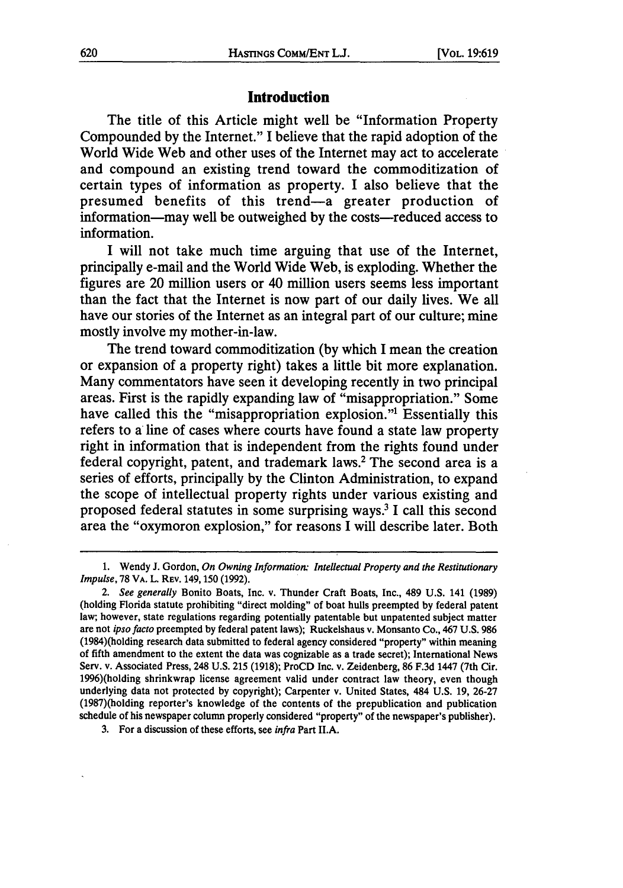#### **Introduction**

The title of this Article might well be "Information Property Compounded by the Internet." I believe that the rapid adoption of the World Wide Web and other uses of the Internet may act to accelerate and compound an existing trend toward the commoditization of certain types of information as property. I also believe that the presumed benefits of this trend-a greater production of information—may well be outweighed by the costs—reduced access to information.

I will not take much time arguing that use of the Internet, principally e-mail and the World Wide Web, is exploding. Whether the figures are 20 million users or 40 million users seems less important than the fact that the Internet is now part of our daily lives. We all have our stories of the Internet as an integral part of our culture; mine mostly involve my mother-in-law.

The trend toward commoditization (by which I mean the creation or expansion of a property right) takes a little bit more explanation. Many commentators have seen it developing recently in two principal areas. First is the rapidly expanding law of "misappropriation." Some have called this the "misappropriation explosion."<sup>1</sup> Essentially this refers to a line of cases where courts have found a state law property right in information that is independent from the rights found under federal copyright, patent, and trademark laws.2 The second area is a series of efforts, principally by the Clinton Administration, to expand the scope of intellectual property rights under various existing and proposed federal statutes in some surprising ways.3 I call this second area the "oxymoron explosion," for reasons I will describe later. Both

**<sup>1.</sup>** Wendy **J.** Gordon, *On Owning Information: Intellectual Property and the Restitutionary Impulse,* 78 VA. L. REV. 149, 150 (1992).

*<sup>2.</sup> See generally* Bonito Boats, Inc. v. Thunder Craft Boats, Inc., 489 U.S. 141 (1989) (holding Florida statute prohibiting "direct molding" of boat hulls preempted by federal patent law; however, state regulations regarding potentially patentable but unpatented subject matter are not *ipso facto* preempted by federal patent laws); Ruckelshaus v. Monsanto Co., 467 U.S. 986 (1984)(holding research data submitted to federal agency considered "property" within meaning of fifth amendment to the extent the data was cognizable as a trade secret); International News Serv. v. Associated Press, 248 U.S. 215 (1918); ProCD Inc. v. Zeidenberg, 86 F.3d 1447 (7th Cir. 1996)(holding shrinkwrap license agreement valid under contract law theory, even though underlying data not protected by copyright); Carpenter v. United States, 484 U.S. 19, 26-27 (1987)(holding reporter's knowledge of the contents of the prepublication and publication schedule of his newspaper column properly considered "property" of the newspaper's publisher).

**<sup>3.</sup>** For a discussion of these efforts, see *infra* Part II.A.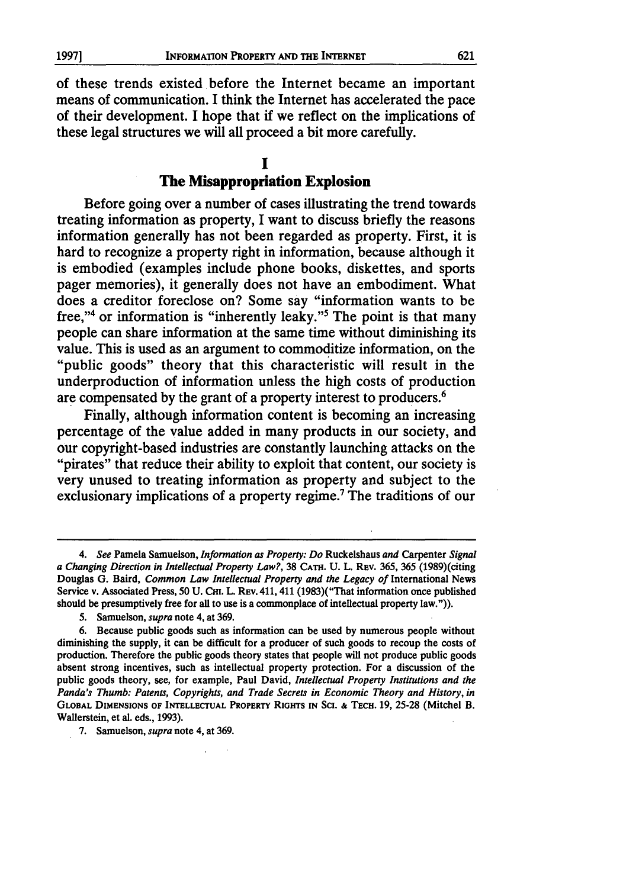of these trends existed before the Internet became an important means of communication. I think the Internet has accelerated the pace of their development. I hope that if we reflect on the implications of these legal structures we will all proceed a bit more carefully.

#### **I The Misappropriation Explosion**

Before going over a number of cases illustrating the trend towards treating information as property, I want to discuss briefly the reasons information generally has not been regarded as property. First, it is hard to recognize a property right in information, because although it is embodied (examples include phone books, diskettes, and sports pager memories), it generally does not have an embodiment. What does a creditor foreclose on? Some say "information wants to be free,"4 or information is "inherently leaky."5 The point is that many people can share information at the same time without diminishing its value. This is used as an argument to commoditize information, on the "public goods" theory that this characteristic will result in the underproduction of information unless the high costs of production are compensated by the grant of a property interest to producers.<sup>6</sup>

Finally, although information content is becoming an increasing percentage of the value added in many products in our society, and our copyright-based industries are constantly launching attacks on the "pirates" that reduce their ability to exploit that content, our society is very unused to treating information as property and subject to the exclusionary implications of a property regime.<sup>7</sup> The traditions of our

**5.** Samuelson, *supra* note 4, at **369.**

**7. Samuelson,** *supra* **note 4, at 369.**

*<sup>4.</sup> See* Pamela Samuelson, *Information as Property: Do* Ruckelshaus *and* Carpenter *Signal a Changing Direction in Intellectual Property Law?,* **38 CATH.** U. L. REv. 365, 365 (1989)(citing Douglas G. Baird, Common Law *Intellectual Property and the Legacy of* International News Service v. Associated Press, 50 U. **Cm.** L. REv. 411, 411 (1983)("That information once published should be presumptively free for all to use is a commonplace of intellectual property law.")).

**<sup>6.</sup>** Because public goods such as information can be used **by** numerous people without diminishing the supply, it can be difficult for a producer of such goods to recoup the costs of production. Therefore the public goods theory states that people will not produce public goods absent strong incentives, such as intellectual property protection. For a discussion of the public goods theory, see, for example, Paul David, *Intellectual Property Institutions and the Panda's Thumb: Patents, Copyrights, and Trade Secrets in Economic Theory and History, in* **GLOBAL DIMENSIONS OF INTELLECTUAL PROPERTY RiGrrs IN Sci. & TECH. 19, 25-28** (Mitchel B. **Wallerstein, et al. eds., 1993).**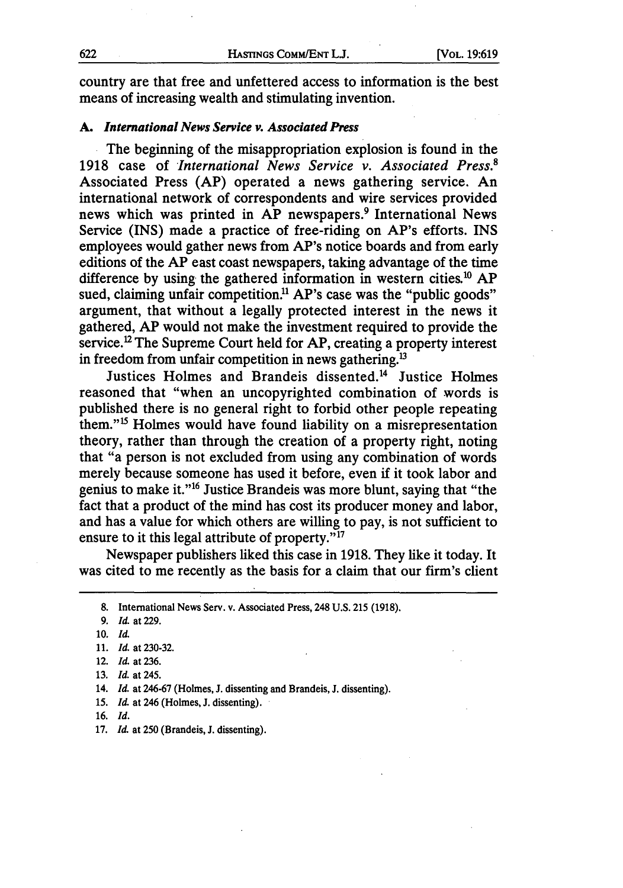country are that free and unfettered access to information is the best means of increasing wealth and stimulating invention.

#### *A. International News Service v. Associated Press*

The beginning of the misappropriation explosion is found in the 1918 case of *International News Service v. Associated Press.'* Associated Press (AP) operated a news gathering service. An international network of correspondents and wire services provided news which was printed in AP newspapers.<sup>9</sup> International News Service (INS) made a practice of free-riding on AP's efforts. INS employees would gather news from AP's notice boards and from early editions of the AP east coast newspapers, taking advantage of the time difference by using the gathered information in western cities.<sup>10</sup> AP sued, claiming unfair competition.<sup>11</sup> AP's case was the "public goods" argument, that without a legally protected interest in the news it gathered, AP would not make the investment required to provide the service.<sup>12</sup> The Supreme Court held for AP, creating a property interest in freedom from unfair competition in news gathering.<sup>13</sup>

Justices Holmes and Brandeis dissented.'4 Justice Holmes reasoned that "when an uncopyrighted combination of words is published there is no general right to forbid other people repeating them."<sup>15</sup> Holmes would have found liability on a misrepresentation theory, rather than through the creation of a property right, noting that "a person is not excluded from using any combination of words merely because someone has used it before, even if it took labor and genius to make it."<sup>16</sup> Justice Brandeis was more blunt, saying that "the fact that a product of the mind has cost its producer money and labor, and has a value for which others are willing to pay, is not sufficient to ensure to it this legal attribute of property. $i^{17}$ 

Newspaper publishers liked this case in 1918. They like it today. It was cited to me recently as the basis for a claim that our firm's client

**<sup>8.</sup>** International News Serv. v. Associated Press, 248 **U.S. 215** (1918).

**<sup>9.</sup>** *Id.* at 229.

**<sup>10.</sup>** *Id.*

**<sup>11.</sup>** *Id.* at 230-32.

<sup>12.</sup> *Id.* at 236.

<sup>13.</sup> *Id.* at 245.

**<sup>14.</sup>** *Id.* at 246-67 (Holmes, **J.** dissenting and Brandeis, **J.** dissenting).

<sup>15.</sup> *Id.* at 246 (Holmes, J. dissenting).

<sup>16.</sup> *Id.*

<sup>17.</sup> Id. at 250 (Brandeis, J. dissenting).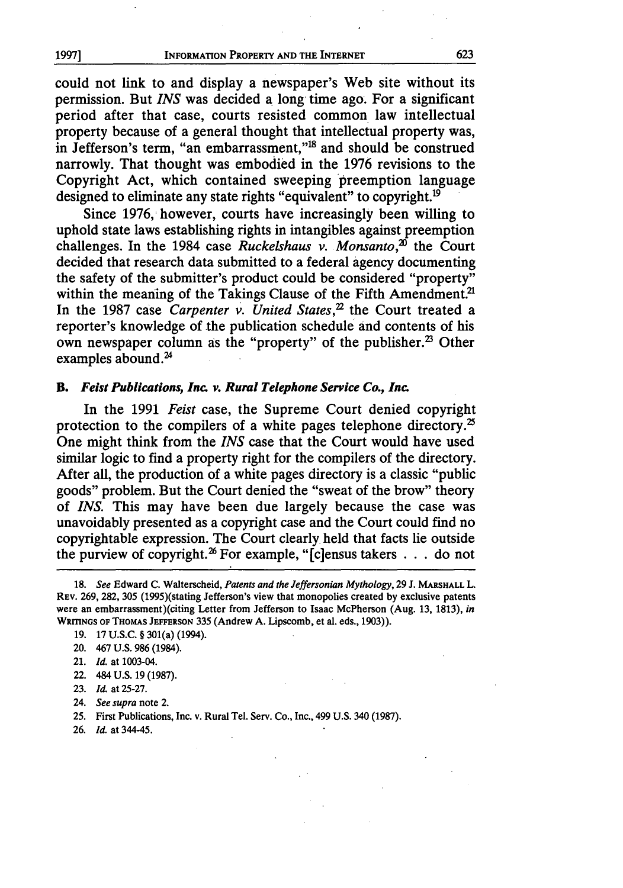could not link to and display a newspaper's Web site without its permission. But *INS* was decided a long time ago. For a significant period after that case, courts resisted common law intellectual property because of a general thought that intellectual property was, in Jefferson's term, "an embarrassment,"'8 and should be construed narrowly. That thought was embodied in the 1976 revisions to the Copyright Act, which contained sweeping preemption language designed to eliminate any state rights "equivalent" to copyright.<sup>19</sup>

Since 1976, however, courts have increasingly been willing to uphold state laws establishing rights in intangibles against preemption challenges. In the 1984 case *Ruckelshaus* v. Monsanto,<sup>20</sup> the Court decided that research data submitted to a federal agency documenting the safety of the submitter's product could be considered "property" within the meaning of the Takings Clause of the Fifth Amendment.<sup>21</sup> In the 1987 case *Carpenter v. United States*,<sup>22</sup> the Court treated a reporter's knowledge of the publication schedule and contents of his own newspaper column as the "property" of the publisher.<sup>23</sup> Other examples abound. $^{24}$ 

#### *B. Feist* **Publications, Inc. v.** *Rural Telephone Service Co., Inc.*

In the 1991 *Feist* case, the Supreme Court denied copyright protection to the compilers of a white pages telephone directory.<sup>25</sup> One might think from the *INS* case that the Court would have used similar logic to find a property right for the compilers of the directory. After all, the production of a white pages directory is a classic "public goods" problem. But the Court denied the "sweat of the brow" theory of *INS.* This may have been due largely because the case was unavoidably presented as a copyright case and the Court could find no copyrightable expression. The Court clearly held that facts lie outside the purview of copyright.<sup>26</sup> For example, "[c]ensus takers  $\dots$  do not

22. 484 **U.S.** 19 **(1987).**

- 24. *See supra* note 2.
- 25. First Publications, Inc. v. Rural Tel. Serv. Co., Inc., 499 U.S. 340 (1987).
- 26. *Id.* at 344-45.

623

**<sup>18.</sup>** *See* Edward **C.** Walterscheid, *Patents and the Jeffersonian Mythology,* **29 J. MARSHALL** L. REv. 269, 282, 305 (1995)(stating Jefferson's view that monopolies created by exclusive patents were an embarrassment)(citing Letter from Jefferson to Isaac McPherson (Aug. 13, 1813), *in* WRITINGS OF THOMAS JEFFERSON 335 (Andrew A. Lipscomb, et al. eds., 1903)).

<sup>19. 17</sup> **U.S.C. §** 301(a) (1994).

<sup>20. 467</sup> **U.S.** 986 (1984).

<sup>21.</sup> *Id.* at 1003-04.

<sup>23.</sup> *Id.* at 25-27.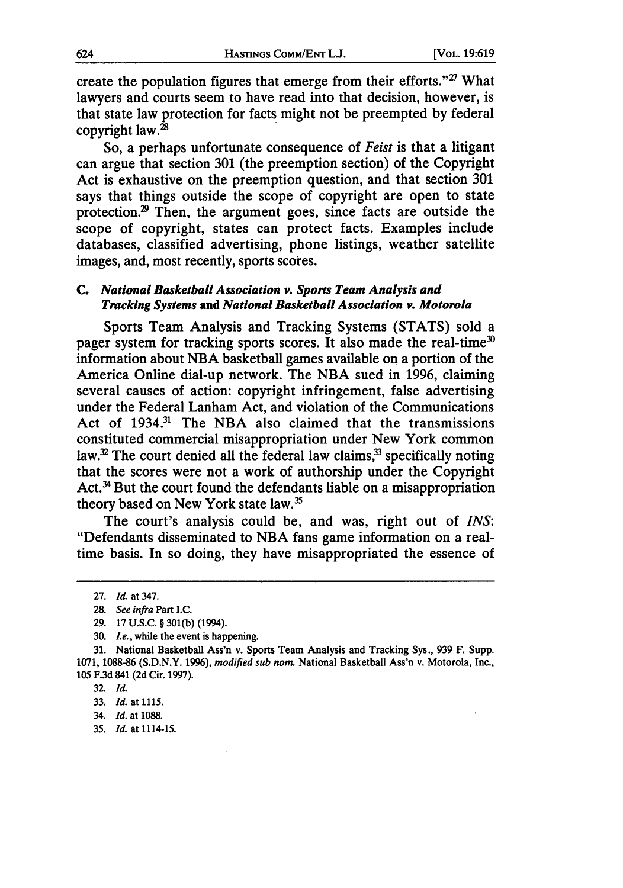create the population figures that emerge from their efforts."<sup>27</sup> What lawyers and courts seem to have read into that decision, however, is that state law protection for facts might not be preempted by federal copyright law.<sup>28</sup>

So, a perhaps unfortunate consequence of *Feist* is that a litigant can argue that section 301 (the preemption section) of the Copyright Act is exhaustive on the preemption question, and that section 301 says that things outside the scope of copyright are open to state protection.29 Then, the argument goes, since facts are outside the scope of copyright, states can protect facts. Examples include databases, classified advertising, phone listings, weather satellite images, and, most recently, sports scores.

#### *C. National Basketball Association v. Sports Team Analysis and Tracking Systems and National Basketball Association v. Motorola*

Sports Team Analysis and Tracking Systems **(STATS)** sold a pager system for tracking sports scores. It also made the real-time<sup>30</sup> information about **NBA** basketball games available on a portion of the America Online dial-up network. The **NBA** sued in **1996,** claiming several causes of action: copyright infringement, false advertising under the Federal Lanham Act, and violation of the Communications Act of 1934.<sup>31</sup> The NBA also claimed that the transmissions constituted commercial misappropriation under New York common law. $^{32}$  The court denied all the federal law claims, $^{33}$  specifically noting that the scores were not a work of authorship under the Copyright Act.<sup>34</sup> But the court found the defendants liable on a misappropriation theory based on New York state law.<sup>35</sup>

The court's analysis could be, and was, right out of *INS:* "Defendants disseminated to **NBA** fans game information on a realtime basis. In so doing, they have misappropriated the essence of

35. *Id.* at 1114-15.

**<sup>27.</sup>** *Id.* at 347.

**<sup>28.</sup>** *See infra* Part **I.C.**

**<sup>29. 17</sup> U.S.C.** § **301(b)** (1994).

**<sup>30.</sup>** *Le.,* while the event is happening.

**<sup>31.</sup>** National Basketball Ass'n v. Sports Team Analysis and Tracking Sys., **939** F. Supp. **1071, 1088-86 (S.D.N.Y. 1996),** *modified sub nom.* National Basketball Ass'n v. Motorola, Inc., **105 F.3d** 841 **(2d** Cir. 1997).

<sup>32.</sup> *Id.*

<sup>33.</sup> *Id.* at 1115.

<sup>34.</sup> *Id.* at 1088.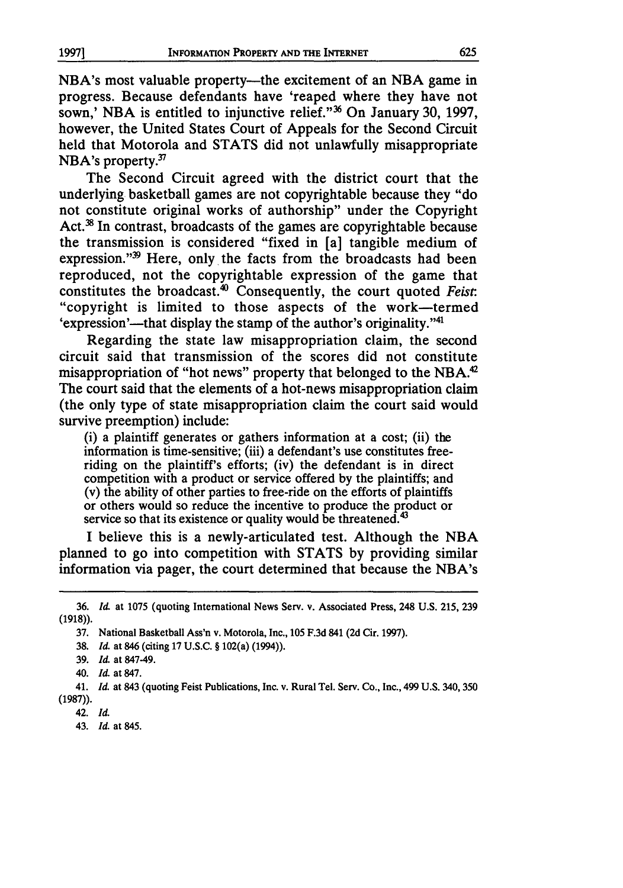NBA's most valuable property—the excitement of an NBA game in progress. Because defendants have 'reaped where they have not sown,' NBA is entitled to injunctive relief."<sup>36</sup> On January 30, 1997, however, the United States Court of Appeals for the Second Circuit held that Motorola and STATS did not unlawfully misappropriate  $NBA$ 's property.<sup>37</sup>

The Second Circuit agreed with the district court that the underlying basketball games are not copyrightable because they "do not constitute original works of authorship" under the Copyright Act.<sup>38</sup> In contrast, broadcasts of the games are copyrightable because the transmission is considered "fixed in [a] tangible medium of expression." $99$  Here, only the facts from the broadcasts had been reproduced, not the copyrightable expression of the game that constitutes the broadcast. 4° Consequently, the court quoted *Feist.* "copyright is limited to those aspects of the work-termed 'expression'—that display the stamp of the author's originality."<sup>41</sup>

Regarding the state law misappropriation claim, the second circuit said that transmission of the scores did not constitute misappropriation of "hot news" property that belonged to the NBA.<sup>42</sup> The court said that the elements of a hot-news misappropriation claim (the only type of state misappropriation claim the court said would survive preemption) include:

(i) a plaintiff generates or gathers information at a cost; (ii) the information is time-sensitive; (iii) a defendant's use constitutes freeriding on the plaintiff's efforts; (iv) the defendant is in direct competition with a product or service offered by the plaintiffs; and (v) the ability of other parties to free-ride on the efforts of plaintiffs or others would so reduce the incentive to produce the product or service so that its existence or quality would be threatened.<sup>43</sup>

I believe this is a newly-articulated test. Although the NBA planned to go into competition with STATS by providing similar information via pager, the court determined that because the NBA's

42. Id

43. *Id.* at 845.

<sup>36.</sup> *Id* at 1075 (quoting International News Serv. v. Associated Press, 248 U.S. 215, 239 (1918)).

<sup>37.</sup> National Basketball Ass'n v. Motorola, Inc., 105 F.3d 841 (2d Cir. 1997).

<sup>38.</sup> *Id.* at 846 (citing 17 U.S.C. § 102(a) (1994)).

<sup>39.</sup> *Id.* at 847-49.

<sup>40.</sup> *Id* at 847.

<sup>41.</sup> *Id.* at 843 (quoting Feist Publications, Inc. v. Rural Tel. Serv. Co., Inc., 499 U.S. 340, 350 (1987)).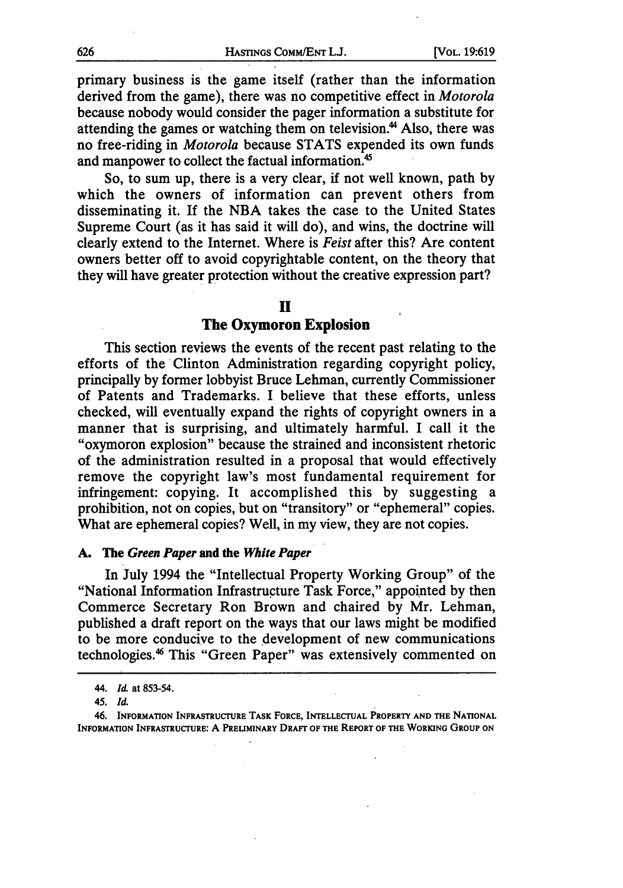primary business is the game itself (rather than the information derived from the game), there was no competitive effect in *Motorola* because nobody would consider the pager information a substitute for attending the games or watching them on television.<sup>44</sup> Also, there was no free-riding in *Motorola* because STATS expended its own funds and manpower to collect the factual information.<sup>45</sup>

So, to sum up, there is a very clear, if not well known, path by which the owners of information can prevent others from disseminating it. If the NBA takes the case to the United States Supreme Court (as it has said it will do), and wins, the doctrine will clearly extend to the Internet. Where is *Feist* after this? Are content owners better off to avoid copyrightable content, on the theory that they will have greater protection without the creative expression part?

#### **II**

### **The Oxymoron Explosion**

This section reviews the events of the recent past relating to the efforts of the Clinton Administration regarding copyright policy, principally by former lobbyist Bruce Lehman, currently Commissioner of Patents and Trademarks. I believe that these efforts, unless checked, will eventually expand the rights of copyright owners in a manner that is surprising, and ultimately harmful. I call it the "oxymoron explosion" because the strained and inconsistent rhetoric of the administration resulted in a proposal that would effectively remove the copyright law's most fundamental requirement for infringement: copying. It accomplished this by suggesting a prohibition, not on copies, but on "transitory" or "ephemeral" copies. What are ephemeral copies? Well, in my view, they are not copies.

#### **A.** The **Green Paper and the** *White* **Paper**

In July 1994 the "Intellectual Property Working Group" of the "National Information Infrastructure Task Force," appointed **by** then Commerce Secretary Ron Brown and chaired **by** Mr. Lehman, published a draft report on the ways that our laws might be modified to be more conducive to the development of new communications technologies.<sup>46</sup> This "Green Paper" was extensively commented on

**<sup>44.</sup>** *Id.* at **853-54.**

*<sup>45.</sup> Id.*

<sup>46.</sup> **INFORMATION INFRASTRUCTURE TASK FORCE, INTELLECTUAL PROPERTY AND THE NATIONAL INFORMATION INFRASTRUCTURE: A PRELIMINARY DRAFT OF THE REPORT OF THE WORKING GROUP ON**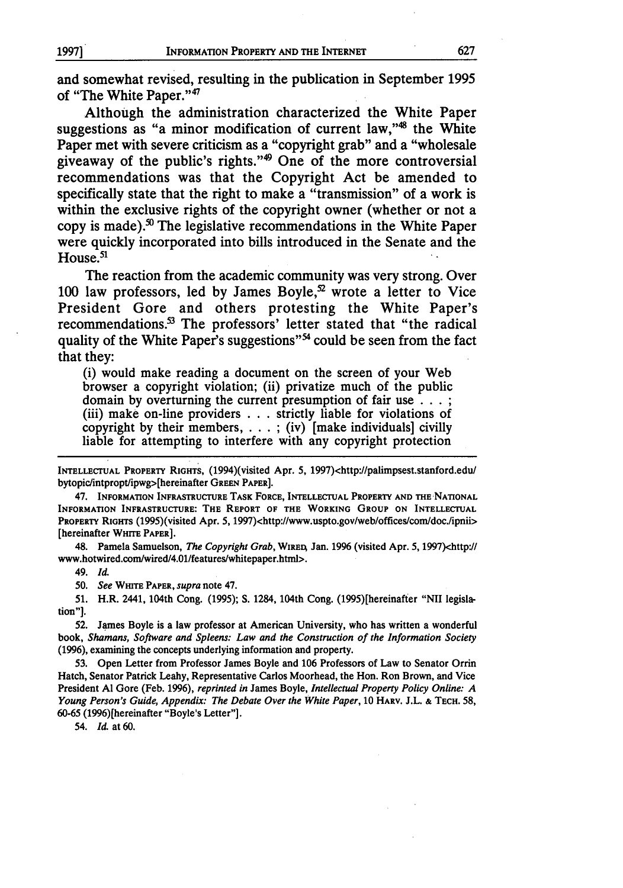and somewhat revised, resulting in the publication in September **1995** of "The White Paper."<sup>47</sup>

Although the administration characterized the White Paper suggestions as "a minor modification of current law,"<sup>48</sup> the White Paper met with severe criticism as a "copyright grab" and a "wholesale giveaway of the public's rights." $\theta$  One of the more controversial recommendations was that the Copyright Act be amended to specifically state that the right to make a "transmission" of a work is within the exclusive rights of the copyright owner (whether or not a copy is made).<sup>50</sup> The legislative recommendations in the White Paper were quickly incorporated into bills introduced in the Senate and the  $House.<sup>51</sup>$ 

The reaction from the academic community was very strong. Over **100** law professors, led **by** James Boyle,52 wrote a letter to Vice President Gore and others protesting the White Paper's recommendations.<sup>53</sup> The professors' letter stated that "the radical quality of the White Paper's suggestions"<sup>54</sup> could be seen from the fact that they:

(i) would make reading a document on the screen of your Web browser a copyright violation; (ii) privatize much of the public domain by overturning the current presumption of fair use **... ;** (iii) make on-line providers . . . strictly liable for violations of copyright by their members **....** ; (iv) [make individuals] civilly liable for attempting to interfere with any copyright protection

INTELLECTUAL PROPERTY RIGHTS, (1994)(visited Apr. 5, 1997)<http://palimpsest.stanford.edu/ bytopic/intpropt/ipwg>[hereinafter **GREEN** PAPER].

47. **INFORMATION** INFRASTRUCTURE TASK FORCE, INTELLECTUAL PROPERTY AND THE NATIONAL INFORMATION **INFRASTRUCTURE:** THE REPORT OF THE WORKING GROUP **ON INTELLECTUAL** PROPERTY RIGHTS (1995)(visited Apr. 5, 1997)<http://www.uspto.gov/web/offices/com/doc./ipnii> [hereinafter WHITE PAPER].

48. Pamela Samuelson, *The Copyright Grab,* WIREA Jan. **1996** (visited Apr. **5,** 1997)<http'./ www.hotwired.com/wired/4.01/features/whitepaper.html>.

49. *Id.*

*50. See* **WHITE** PAPER, *supra* note 47.

**51.** H.R. 2441, 104th Cong. **(1995); S.** 1284, 104th Cong. (1995)[hereinafter **"NII** legislation"].

52. James Boyle is a **law** professor at American University, who has written a wonderful book, *Shamans, Software and Spleens: Law and the Construction of the Information Society* (1996), examining the concepts underlying information and property.

53. Open Letter from Professor James Boyle and 106 Professors of Law to Senator Orrin Hatch, Senator Patrick Leahy, Representative Carlos Moorhead, the Hon. Ron Brown, and Vice President **Al** Gore (Feb. 1996), *reprinted in* James Boyle, *Intellectual Property Policy Online: A Young Person's Guide, Appendix: The Debate Over the White Paper,* 10 HARV. J.L. **&** TECH. 58, 60-65 (1996) [hereinafter "Boyle's Letter"].

54. *Id.* at 60.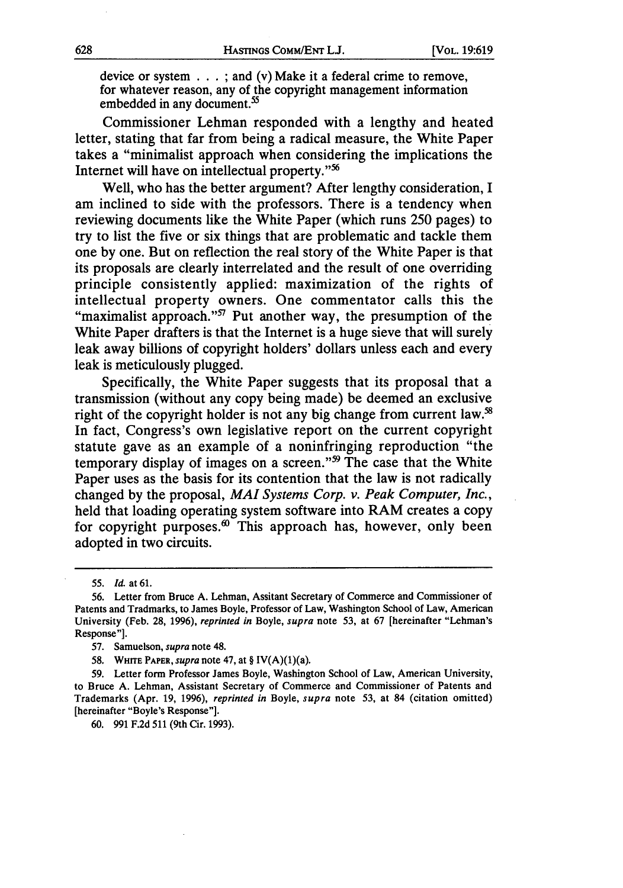device or system **...**; and (v) Make it a federal crime to remove, for whatever reason, any of the copyright management information embedded in any document.<sup>55</sup>

Commissioner Lehman responded with a lengthy and heated letter, stating that far from being a radical measure, the White Paper takes a "minimalist approach when considering the implications the Internet will have on intellectual property."<sup>56</sup>

Well, who has the better argument? After lengthy consideration, I am inclined to side with the professors. There is a tendency when reviewing documents like the White Paper (which runs 250 pages) to try to list the five or six things that are problematic and tackle them one by one. But on reflection the real story of the White Paper is that its proposals are clearly interrelated and the result of one overriding principle consistently applied: maximization of the rights of intellectual property owners. One commentator calls this the "maximalist approach." $57$  Put another way, the presumption of the White Paper drafters is that the Internet is a huge sieve that will surely leak away billions of copyright holders' dollars unless each and every leak is meticulously plugged.

Specifically, the White Paper suggests that its proposal that a transmission (without any copy being made) be deemed an exclusive right of the copyright holder is not any big change from current law.<sup>58</sup> In fact, Congress's own legislative report on the current copyright statute gave as an example of a noninfringing reproduction "the temporary display of images on a screen."<sup>99</sup> The case that the White Paper uses as the basis for its contention that the law is not radically changed by the proposal, *MAI Systems Corp. v. Peak Computer, Inc.,* held that loading operating system software into RAM creates a copy for copyright purposes. $60$  This approach has, however, only been adopted in two circuits.

58. WHrrE PAPER, *supra* note 47, at § IV(A)(1)(a).

*<sup>55.</sup> Id.* at **61.**

**<sup>56.</sup>** Letter from Bruce A. Lehman, Assitant Secretary of Commerce and Commissioner of Patents and Tradmarks, to James Boyle, Professor of Law, Washington School of Law, American University (Feb. 28, 1996), *reprinted in* Boyle, *supra* note 53, at 67 [hereinafter "Lehman's Response"].

<sup>57.</sup> Samuelson, *supra* note 48.

<sup>59.</sup> Letter form Professor James Boyle, Washington School of Law, American University, to Bruce A. Lehman, Assistant Secretary of Commerce and Commissioner of Patents and Trademarks (Apr. 19, 1996), *reprinted in* Boyle, *supra* note 53, at 84 (citation omitted) [hereinafter "Boyle's Response"].

<sup>60. 991</sup> F.2d 511 (9th Cir. 1993).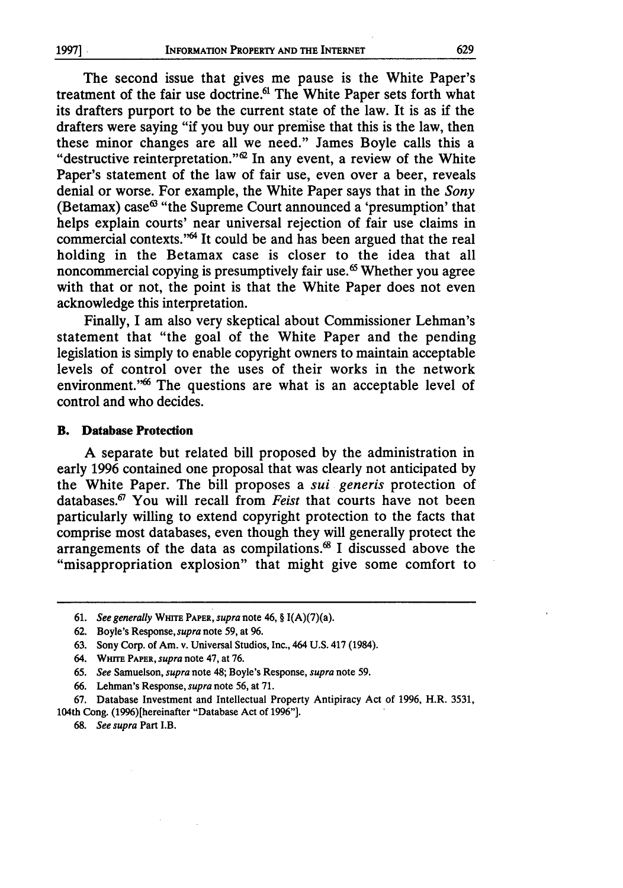The second issue that gives me pause is the White Paper's treatment of the fair use doctrine.<sup>61</sup> The White Paper sets forth what its drafters purport to be the current state of the law. It is as if the drafters were saying "if you buy our premise that this is the law, then these minor changes are all we need." James Boyle calls this a "destructive reinterpretation." $\mathscr{L}$  In any event, a review of the White Paper's statement of the law of fair use, even over a beer, reveals denial or worse. For example, the White Paper says that in the *Sony* (Betamax) case<sup> $63$ </sup> "the Supreme Court announced a 'presumption' that helps explain courts' near universal rejection of fair use claims in commercial contexts."<sup>64</sup> It could be and has been argued that the real holding in the Betamax case is closer to the idea that all noncommercial copying is presumptively fair use.<sup>65</sup> Whether you agree with that or not, the point is that the White Paper does not even acknowledge this interpretation.

Finally, I am also very skeptical about Commissioner Lehman's statement that "the goal of the White Paper and the pending legislation is simply to enable copyright owners to maintain acceptable levels of control over the uses of their works in the network environment."<sup>66</sup> The questions are what is an acceptable level of control and who decides.

#### B. **Database Protection**

A separate but related bill proposed by the administration in early 1996 contained one proposal that was clearly not anticipated by the White Paper. The bill proposes a *sui generis* protection of databases.67 You will recall from *Feist* that courts have not been particularly willing to extend copyright protection to the facts that comprise most databases, even though they will generally protect the arrangements of the data as compilations. $68$  I discussed above the "misappropriation explosion" that might give some comfort to

<sup>61.</sup> *See generally* **WHITE PAPER,** *supra* note 46, **§** I(A)(7)(a).

<sup>62.</sup> Boyle's Response, *supra* note 59, at 96.

<sup>63.</sup> Sony Corp. of Am. v. Universal Studios, Inc., 464 U.S. 417 (1984).

<sup>64.</sup> **WHITE** PAPER, *supra* note 47, at **76.**

<sup>65.</sup> *See* Samuelson, *supra* note 48; Boyle's Response, *supra* note 59.

<sup>66.</sup> Lehman's Response, *supra* note 56, at 71.

<sup>67.</sup> Database Investment and Intellectual Property Antipiracy Act of 1996, H.R. 3531, 104th Cong. (1996)[hereinafter "Database Act of 1996"].

<sup>68.</sup> *See supra* Part I.B.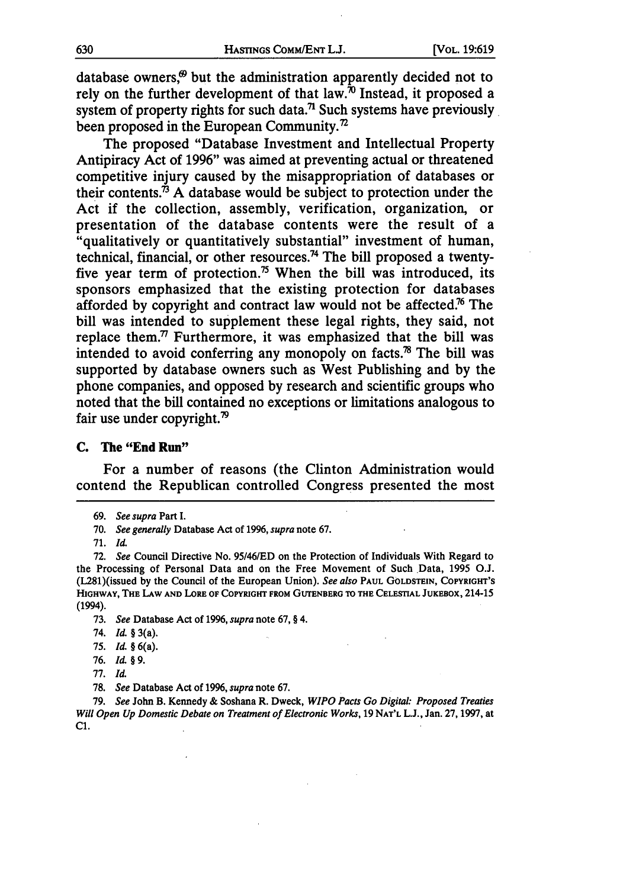database owners, $\theta$  but the administration apparently decided not to rely on the further development of that law. $\dot{p}$  Instead, it proposed a system of property rights for such data.<sup>71</sup> Such systems have previously been proposed in the European Community.<sup>72</sup>

The proposed "Database Investment and Intellectual Property Antipiracy Act of 1996" was aimed at preventing actual or threatened competitive injury caused by the misappropriation of databases or their contents.<sup> $\dot{\beta}$ </sup> A database would be subject to protection under the Act if the collection, assembly, verification, organization, or presentation of the database contents were the result of a "qualitatively or quantitatively substantial" investment of human, technical, financial, or other resources.74 The bill proposed a twentyfive year term of protection.<sup>75</sup> When the bill was introduced, its sponsors emphasized that the existing protection for databases afforded by copyright and contract law would not be affected.<sup>76</sup> The bill was intended to supplement these legal rights, they said, not replace them. $\frac{7}{7}$  Furthermore, it was emphasized that the bill was intended to avoid conferring any monopoly on facts.78 The bill was supported by database owners such as West Publishing and by the phone companies, and opposed by research and scientific groups who noted that the bill contained no exceptions or limitations analogous to fair use under copyright. $\frac{1}{2}$ 

#### **C.** The "End Run"

For a number of reasons (the Clinton Administration would contend the Republican controlled Congress presented the most

**73.** *See* Database Act of **1996,** *supra* note **67,** § 4.

79. *See* John B. Kennedy & Soshana R. Dweck, *WIPO Pacts Go Digital: Proposed Treaties Will Open Up Domestic Debate on Treatment of Electronic Works,* 19 **NAT'L** L.J., Jan. 27, 1997, at C1.

<sup>69.</sup> *See supra* Part I.

<sup>70.</sup> *See generally* Database Act of **1996,** *supra* note 67.

<sup>71.</sup> *Id.*

<sup>72.</sup> *See* Council Directive No. 95/46/ED on the Protection of Individuals With Regard to the Processing of Personal Data and on the Free Movement of Such Data, 1995 O.J. (L281)(issued by the Council of the European Union). *See also* **PAUL GOLDSTEIN, COPYRIGHT'S HIGHWAY, THE LAW AND LoRE OF COPYRIGHT FROM GUTENBERG TO THE CELESTIAL JUKEBOX,** 214-15 (1994).

<sup>74.</sup> *Id. §* 3(a).

<sup>75.</sup> *Id. §* 6(a).

<sup>76.</sup> *I& §* 9.

<sup>77.</sup> *Id.*

**<sup>78.</sup>** *See* Database Act of 1996, *supra* note 67.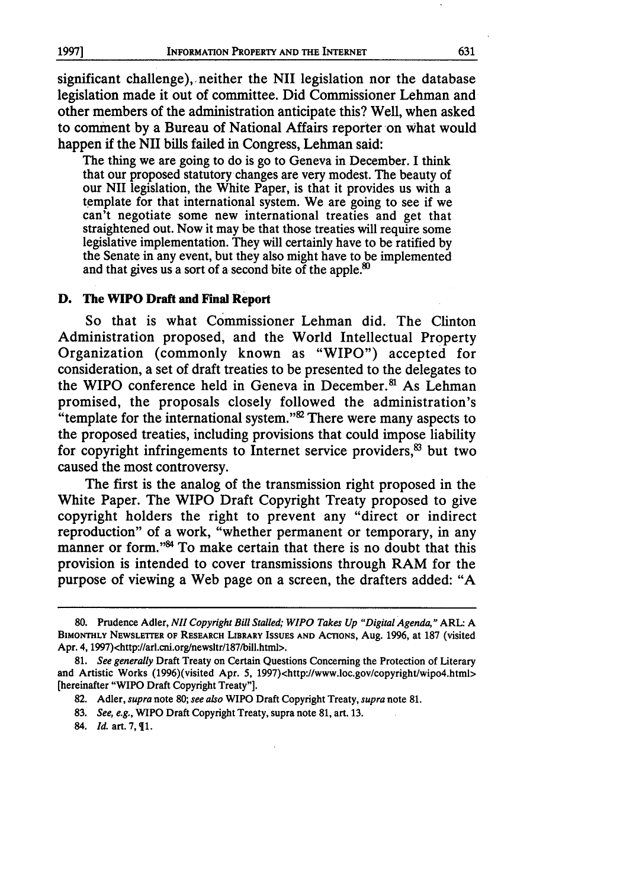significant challenge), neither the NII legislation nor the database legislation made it out of committee. Did Commissioner Lehman and other members of the administration anticipate this? Well, when asked to comment by a Bureau of National Affairs reporter on what would happen if the NII bills failed in Congress, Lehman said:

The thing we are going to do is go to Geneva in December. I think that our proposed statutory changes are very modest. The beauty of our NII legislation, the White Paper, is that it provides us with a template for that international system. We are going to see if we can't negotiate some new international treaties and get that straightened out. Now it may be that those treaties will require some legislative implementation. They will certainly have to be ratified by the Senate in any event, but they also might have to be implemented and that gives us a sort of a second bite of the apple.<sup>80</sup>

#### **D. The WIPO Draft and Final Report**

So that is what Commissioner Lehman did. The Clinton Administration proposed, and the World Intellectual Property Organization (commonly known as "WIPO") accepted for consideration, a set of draft treaties to be presented to the delegates to the WIPO conference held in Geneva in December.<sup>81</sup> As Lehman promised, the proposals closely followed the administration's "template for the international system." $\mathcal{C}$  There were many aspects to the proposed treaties, including provisions that could impose liability for copyright infringements to Internet service providers, $8$  but two caused the most controversy.

The first is the analog of the transmission right proposed in the White Paper. The WIPO Draft Copyright Treaty proposed to give copyright holders the right to prevent any "direct or indirect reproduction" of a work, "whether permanent or temporary, in any manner or form."<sup>84</sup> To make certain that there is no doubt that this provision is intended to cover transmissions through RAM for the purpose of viewing a Web page on a screen, the drafters added: "A

- **83.** *See, e.g.,* WIPO Draft Copyright Treaty, supra note **81,** art. **13.**
- 84. *Id.* art. 7,  $\P$ 1.

**<sup>80.</sup>** Prudence Adler, *Nil Copyright Bill Stalled; WIPO Takes Up "Digital Agenda,"* ARL: A **BIMONTHLY NEWSLETIER OF RESEARCH LIBRARY ISSUES AND ACTIONS,** Aug. 1996, at 187 (visited Apr. 4, 1997)<http://arl.cni.org/newsltr/187/bill.html>.

**<sup>81.</sup>** *See generally* Draft Treaty on Certain Questions Concerning the Protection of Literary and Artistic Works (1996)(visited Apr. 5, 1997)<http://www.loc.gov/copyright/wipo4.html> [hereinafter "WIPO Draft Copyright Treaty"].

**<sup>82.</sup>** Adler, *supra* note 80; *see also* WIPO **Draft Copyright** Treaty, *supra* note **81.**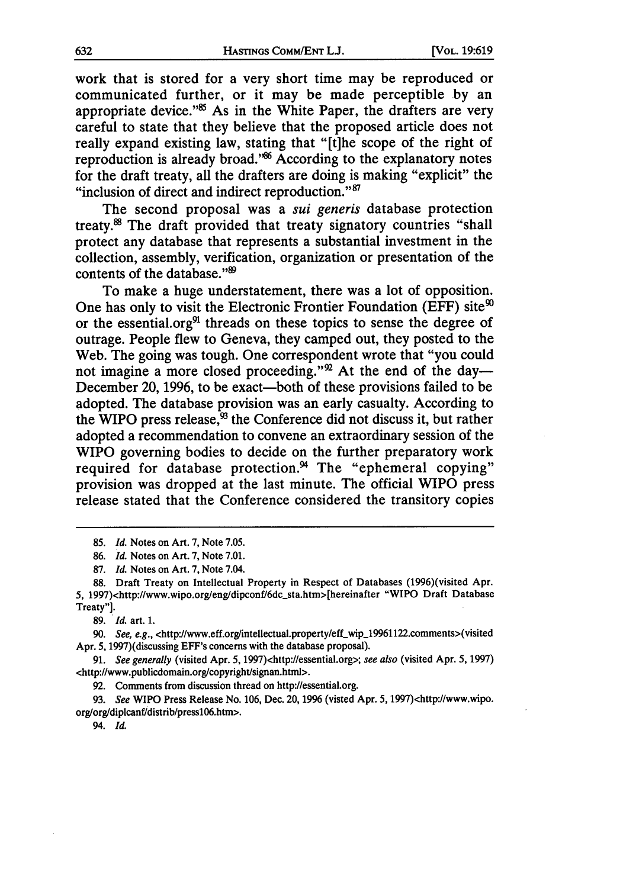work that is stored for a very short time may be reproduced or communicated further, or it may be made perceptible **by** an appropriate device."<sup>85</sup> As in the White Paper, the drafters are very careful to state that they believe that the proposed article does not really expand existing law, stating that "[t]he scope of the right of reproduction is already broad."<sup>86</sup> According to the explanatory notes for the draft treaty, all the drafters are doing is making "explicit" the "inclusion of direct and indirect reproduction."<sup>87</sup>

The second proposal was a *sui generis* database protection treaty.8 The draft provided that treaty signatory countries "shall protect any database that represents a substantial investment in the collection, assembly, verification, organization or presentation of the contents of the database."<sup>89</sup>

To make a huge understatement, there was a lot of opposition. One has only to visit the Electronic Frontier Foundation (EFF) site $<sup>90</sup>$ </sup> or the essential.org $91$  threads on these topics to sense the degree of outrage. People flew to Geneva, they camped out, they posted to the Web. The going was tough. One correspondent wrote that "you could not imagine a more closed proceeding."<sup>22</sup> At the end of the day-December 20, 1996, to be exact—both of these provisions failed to be adopted. The database provision was an early casualty. According to the WIPO press release, $\mathcal{B}$  the Conference did not discuss it, but rather adopted a recommendation to convene an extraordinary session of the WIPO governing bodies to decide on the further preparatory work required for database protection.<sup>94</sup> The "ephemeral copying" provision was dropped at the last minute. The official WIPO press release stated that the Conference considered the transitory copies

89. *Id.* art. **1.**

90. See, e.g., <http://www.eff.org/intellectual.property/eff\_wip\_19961122.comments>(visited Apr. 5, 1997)(discussing EFF's concerns with the database proposal).

**91.** *See generally* (visited Apr. 5, 1997)<http://essential.org>; *see also* (visited Apr. **5, 1997)** <http://www.publicdomain.org/copyright/signan.html>.

**92.** Comments from discussion thread on http://essential.org.

**93.** *See* WIPO Press Release No. **106,** Dec. **20,** 1996 (visted Apr. 5, 1997)<http://www.wipo. orglorg/diplcanf/distrib/pressl06.htm>.

94. *Id.*

<sup>85.</sup> *Id.* Notes on Art. 7, Note 7.05.

**<sup>86.</sup>** *Id.* Notes on Art. **7,** Note **7.01.**

**<sup>87.</sup>** *Id.* Notes on Art. **7,** Note 7.04.

**<sup>88.</sup>** Draft Treaty on Intellectual Property in Respect of Databases (1996)(visited Apr. 5, 1997)<http://www.wipo.org/eng/dipconf/6dc\_sta.htm>[hereinafter "WIPO Draft Database Treaty"].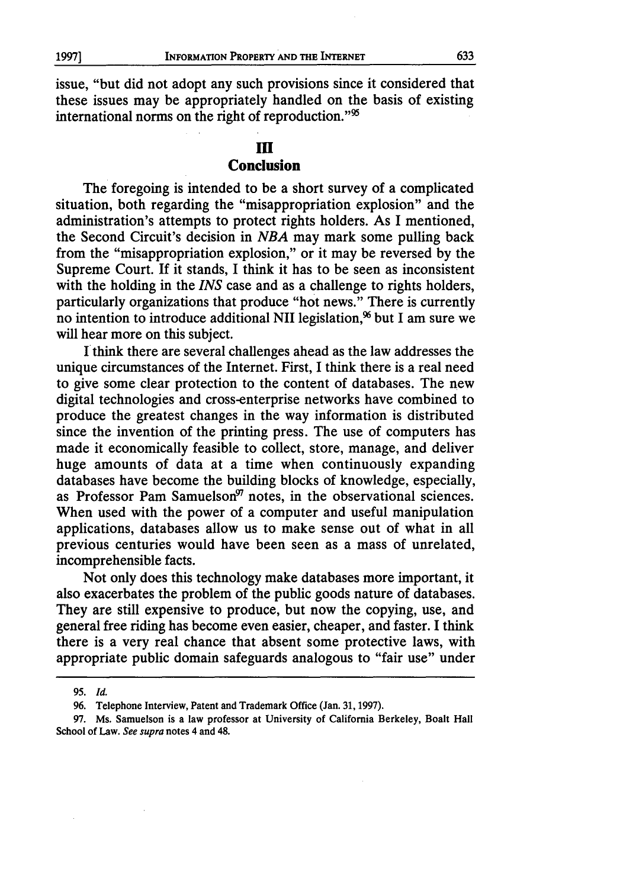issue, "but did not adopt any such provisions since it considered that these issues may be appropriately handled on the basis of existing international norms on the right of reproduction."<sup>95</sup>

# III **Conclusion**

The foregoing is intended to be a short survey of a complicated situation, both regarding the "misappropriation explosion" and the administration's attempts to protect rights holders. As I mentioned, the Second Circuit's decision in *NBA* may mark some pulling back from the "misappropriation explosion," or it may be reversed by the Supreme Court. If it stands, I think it has to be seen as inconsistent with the holding in the *INS* case and as a challenge to rights holders, particularly organizations that produce "hot news." There is currently no intention to introduce additional NII legislation, $\%$  but I am sure we will hear more on this subject.

I think there are several challenges ahead as the law addresses the unique circumstances of the Internet. First, I think there is a real need to give some clear protection to the content of databases. The new digital technologies and cross-enterprise networks have combined to produce the greatest changes in the way information is distributed since the invention of the printing press. The use of computers has made it economically feasible to collect, store, manage, and deliver huge amounts of data at a time when continuously expanding databases have become the building blocks of knowledge, especially, as Professor Pam Samuelson<sup>97</sup> notes, in the observational sciences. When used with the power of a computer and useful manipulation applications, databases allow us to make sense out of what in all previous centuries would have been seen as a mass of unrelated, incomprehensible facts.

Not only does this technology make databases more important, it also exacerbates the problem of the public goods nature of databases. They are still expensive to produce, but now the copying, use, and general free riding has become even easier, cheaper, and faster. I think there is a very real chance that absent some protective laws, with appropriate public domain safeguards analogous to "fair use" under

<sup>95.</sup> *Id.*

<sup>96.</sup> Telephone Interview, Patent and Trademark Office (Jan. 31, 1997).

<sup>97.</sup> Ms. Samuelson is a law professor at University of California Berkeley, Boalt Hall School of Law. *See supra* notes 4 and 48.